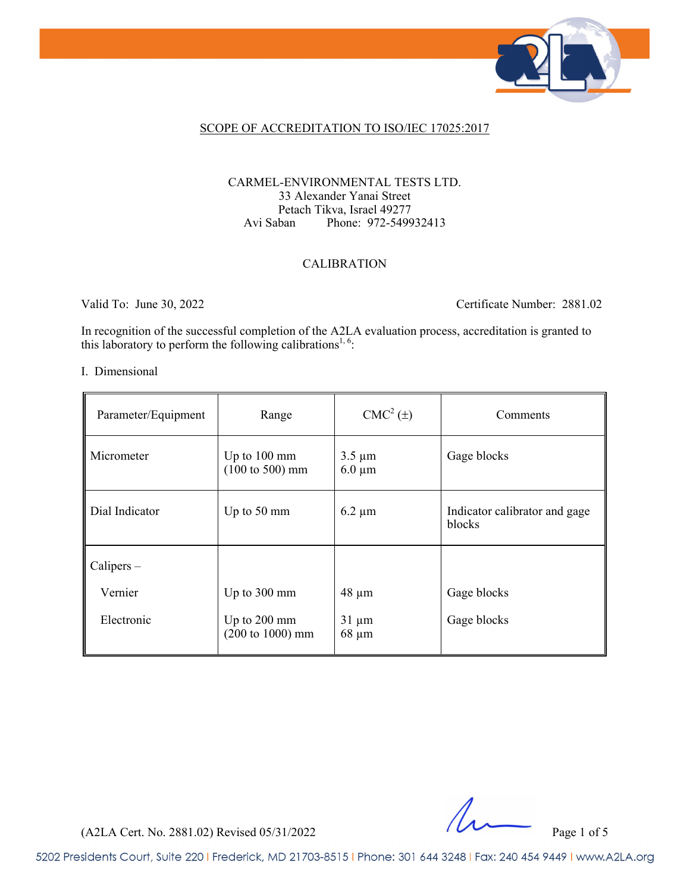

### SCOPE OF ACCREDITATION TO ISO/IEC 17025:2017

### CARMEL-ENVIRONMENTAL TESTS LTD. 33 Alexander Yanai Street Petach Tikva, Israel 49277 Avi Saban Phone: 972-549932413

### CALIBRATION

Valid To: June 30, 2022 Certificate Number: 2881.02

In recognition of the successful completion of the A2LA evaluation process, accreditation is granted to this laboratory to perform the following calibrations<sup>1, 6</sup>:

#### I. Dimensional

| Parameter/Equipment | Range                                                         | $CMC2(\pm)$                | Comments                                |
|---------------------|---------------------------------------------------------------|----------------------------|-----------------------------------------|
| Micrometer          | Up to $100 \text{ mm}$<br>$(100 \text{ to } 500) \text{ mm}$  | $3.5 \mu m$<br>$6.0 \mu m$ | Gage blocks                             |
| Dial Indicator      | Up to 50 mm                                                   | $6.2 \mu m$                | Indicator calibrator and gage<br>blocks |
| Calipers –          |                                                               |                            |                                         |
| Vernier             | Up to 300 mm                                                  | $48 \mu m$                 | Gage blocks                             |
| Electronic          | Up to $200 \text{ mm}$<br>$(200 \text{ to } 1000) \text{ mm}$ | $31 \mu m$<br>$68 \mu m$   | Gage blocks                             |

(A2LA Cert. No. 2881.02) Revised 05/31/2022 Page 1 of 5

5202 Presidents Court, Suite 220 | Frederick, MD 21703-8515 | Phone: 301 644 3248 | Fax: 240 454 9449 | www.A2LA.org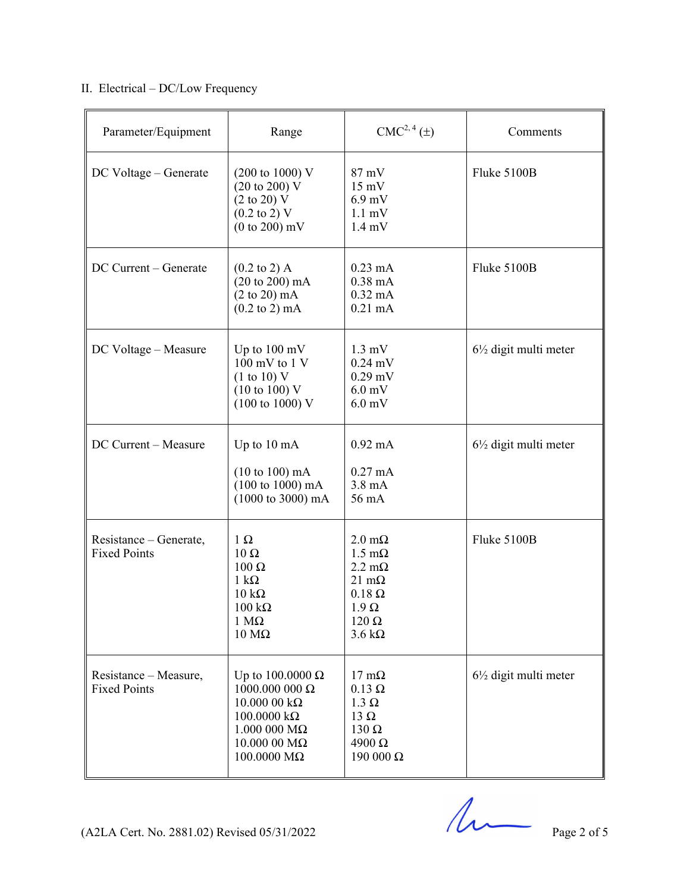# II. Electrical – DC/Low Frequency

| Parameter/Equipment                           | Range                                                                                                                                                             | CMC <sup>2, 4</sup> (±)                                                                                                                                         | Comments                         |
|-----------------------------------------------|-------------------------------------------------------------------------------------------------------------------------------------------------------------------|-----------------------------------------------------------------------------------------------------------------------------------------------------------------|----------------------------------|
| DC Voltage - Generate                         | $(200 \text{ to } 1000) \text{ V}$<br>(20 to 200) V<br>$(2 \text{ to } 20)$ V<br>$(0.2 \text{ to } 2) \text{ V}$<br>$(0 to 200)$ mV                               | 87 mV<br>$15 \text{ mV}$<br>$6.9$ mV<br>$1.1 \text{ mV}$<br>$1.4 \text{ mV}$                                                                                    | Fluke 5100B                      |
| DC Current - Generate                         | $(0.2 \text{ to } 2)$ A<br>(20 to 200) mA<br>$(2 \text{ to } 20) \text{ mA}$<br>$(0.2 \text{ to } 2) \text{ mA}$                                                  | $0.23 \text{ mA}$<br>$0.38$ mA<br>$0.32 \text{ mA}$<br>$0.21$ mA                                                                                                | Fluke 5100B                      |
| DC Voltage - Measure                          | Up to $100 \text{ mV}$<br>$100 \text{ mV}$ to $1 \text{V}$<br>(1 to 10) V<br>$(10 \text{ to } 100)$ V<br>$(100 \text{ to } 1000) \text{ V}$                       | $1.3 \text{ mV}$<br>$0.24$ mV<br>$0.29$ mV<br>$6.0$ mV<br>$6.0$ mV                                                                                              | $6\frac{1}{2}$ digit multi meter |
| DC Current - Measure                          | Up to 10 mA<br>$(10 to 100)$ mA<br>$(100 \text{ to } 1000) \text{ mA}$<br>$(1000 \text{ to } 3000) \text{ mA}$                                                    | $0.92 \text{ mA}$<br>$0.27 \text{ mA}$<br>$3.8 \text{ mA}$<br>56 mA                                                                                             | $6\frac{1}{2}$ digit multi meter |
| Resistance – Generate,<br><b>Fixed Points</b> | $1 \Omega$<br>$10 \Omega$<br>100 Ω<br>$1 \text{ k}\Omega$<br>$10 \text{ k}\Omega$<br>$100 \text{ k}\Omega$<br>$1 M\Omega$<br>$10 \text{ M}\Omega$                 | $2.0 \text{ m}\Omega$<br>$1.5 \text{ mA}$<br>$2.2 \text{ m}\Omega$<br>$21 \text{ mA}$<br>$0.18 \Omega$<br>$1.9 \Omega$<br>$120 \Omega$<br>$3.6 \text{ k}\Omega$ | Fluke 5100B                      |
| Resistance – Measure,<br><b>Fixed Points</b>  | Up to $100.0000 \Omega$<br>1000.000 000 $\Omega$<br>$10.000000k\Omega$<br>$100.0000 k\Omega$<br>$1.000$ 000 M $\Omega$<br>$10.000$ 00 M $\Omega$<br>$100.0000$ ΜΩ | $17 \text{ mA}$<br>$0.13 \Omega$<br>$1.3 \Omega$<br>13 $\Omega$<br>$130 \Omega$<br>$4900 \Omega$<br>190 000 Ω                                                   | $6\frac{1}{2}$ digit multi meter |

 $(A2LA$  Cert. No. 2881.02) Revised 05/31/2022 Page 2 of 5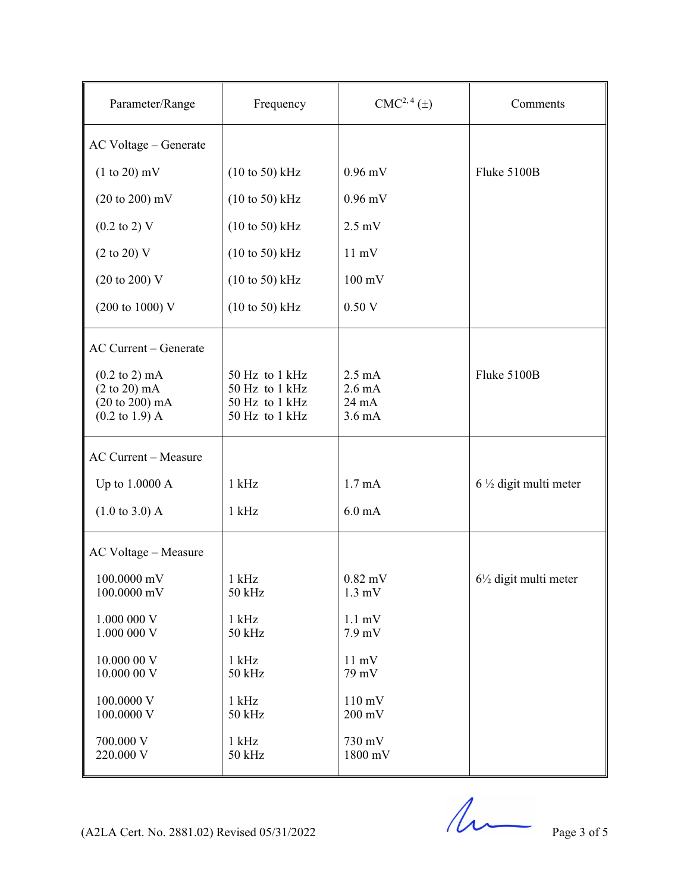| Parameter/Range                                                                                                            | Frequency                                                            | CMC <sup>2, 4</sup> (±)                                           | Comments                         |
|----------------------------------------------------------------------------------------------------------------------------|----------------------------------------------------------------------|-------------------------------------------------------------------|----------------------------------|
| AC Voltage - Generate                                                                                                      |                                                                      |                                                                   |                                  |
| $(1 to 20)$ mV                                                                                                             | $(10 \text{ to } 50)$ kHz                                            | $0.96$ mV                                                         | Fluke 5100B                      |
| $(20 \text{ to } 200) \text{ mV}$                                                                                          | $(10 \text{ to } 50)$ kHz                                            | $0.96$ mV                                                         |                                  |
| $(0.2 \text{ to } 2) \text{ V}$                                                                                            | $(10 \text{ to } 50)$ kHz                                            | $2.5 \text{ mV}$                                                  |                                  |
| $(2 \text{ to } 20)$ V                                                                                                     | $(10 \text{ to } 50)$ kHz                                            | $11 \text{ mV}$                                                   |                                  |
| $(20 \text{ to } 200) \text{ V}$                                                                                           | $(10 \text{ to } 50)$ kHz                                            | $100 \text{ mV}$                                                  |                                  |
| $(200 \text{ to } 1000) \text{ V}$                                                                                         | $(10 \text{ to } 50)$ kHz                                            | 0.50V                                                             |                                  |
| AC Current - Generate                                                                                                      |                                                                      |                                                                   |                                  |
| $(0.2 \text{ to } 2) \text{ mA}$<br>$(2 \text{ to } 20) \text{ mA}$<br>(20 to 200) mA<br>$(0.2 \text{ to } 1.9) \text{ A}$ | 50 Hz to 1 kHz<br>50 Hz to 1 kHz<br>50 Hz to 1 kHz<br>50 Hz to 1 kHz | $2.5 \text{ mA}$<br>$2.6 \text{ mA}$<br>24 mA<br>$3.6 \text{ mA}$ | Fluke 5100B                      |
| <b>AC Current - Measure</b>                                                                                                |                                                                      |                                                                   |                                  |
| Up to 1.0000 A                                                                                                             | $1$ kHz                                                              | 1.7 <sub>mA</sub>                                                 | $6\frac{1}{2}$ digit multi meter |
| $(1.0 \text{ to } 3.0)$ A                                                                                                  | $1$ kHz                                                              | $6.0 \text{ mA}$                                                  |                                  |
| AC Voltage - Measure                                                                                                       |                                                                      |                                                                   |                                  |
| 100.0000 mV<br>100.0000 mV                                                                                                 | $1$ kHz<br>50 kHz                                                    | $0.82$ mV<br>$1.3 \text{ mV}$                                     | $6\frac{1}{2}$ digit multi meter |
| 1.000 000 V<br>1.000 000 V                                                                                                 | $1$ kHz<br>50 kHz                                                    | $1.1 \text{ mV}$<br>$7.9$ mV                                      |                                  |
| 10.000 00 V<br>10.000 00 V                                                                                                 | $1$ kHz<br>50 kHz                                                    | $11 \text{ mV}$<br>79 mV                                          |                                  |
| 100.0000 V<br>100.0000 V                                                                                                   | $1$ kHz<br>50 kHz                                                    | $110 \text{ mV}$<br>$200 \text{ mV}$                              |                                  |
| 700.000 V<br>220.000 V                                                                                                     | $1$ kHz<br>50 kHz                                                    | 730 mV<br>1800 mV                                                 |                                  |

(A2LA Cert. No. 2881.02) Revised  $05/31/2022$  Page 3 of 5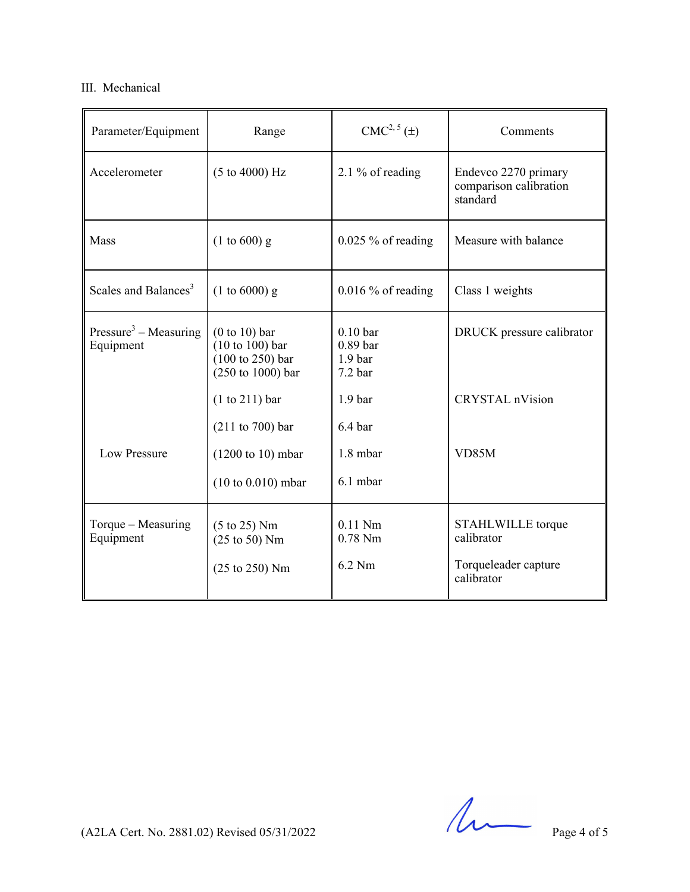# III. Mechanical

| Parameter/Equipment                            | Range                                                                                                                   | CMC <sup>2, 5</sup> (±)                                                                                      | Comments                                                              |
|------------------------------------------------|-------------------------------------------------------------------------------------------------------------------------|--------------------------------------------------------------------------------------------------------------|-----------------------------------------------------------------------|
| Accelerometer                                  | (5 to 4000) Hz                                                                                                          | 2.1 % of reading                                                                                             | Endevco 2270 primary<br>comparison calibration<br>standard            |
| Mass                                           | $(1 to 600)$ g                                                                                                          | $0.025\%$ of reading                                                                                         | Measure with balance                                                  |
| Scales and Balances <sup>3</sup>               | $(1 to 6000)$ g                                                                                                         | $0.016\%$ of reading                                                                                         | Class 1 weights                                                       |
| Pressure <sup>3</sup> – Measuring<br>Equipment | $(0 to 10)$ bar<br>$(10 to 100)$ bar<br>$(100 \text{ to } 250)$ bar<br>$(250 \text{ to } 1000)$ bar<br>$(1 to 211)$ bar | 0.10 <sub>bar</sub><br>0.89 <sub>bar</sub><br>1.9 <sub>bar</sub><br>7.2 <sub>bar</sub><br>1.9 <sub>bar</sub> | DRUCK pressure calibrator<br><b>CRYSTAL</b> nVision                   |
| Low Pressure                                   | (211 to 700) bar<br>$(1200 \text{ to } 10) \text{ mbar}$<br>$(10 to 0.010)$ mbar                                        | 6.4 <sub>bar</sub><br>1.8 mbar<br>6.1 mbar                                                                   | VD85M                                                                 |
| Torque $-$ Measuring<br>Equipment              | $(5 \text{ to } 25)$ Nm<br>$(25 \text{ to } 50)$ Nm<br>(25 to 250) Nm                                                   | $0.11$ Nm<br>$0.78$ Nm<br>6.2 Nm                                                                             | STAHLWILLE torque<br>calibrator<br>Torqueleader capture<br>calibrator |

 $(A2LA$  Cert. No. 2881.02) Revised 05/31/2022 Page 4 of 5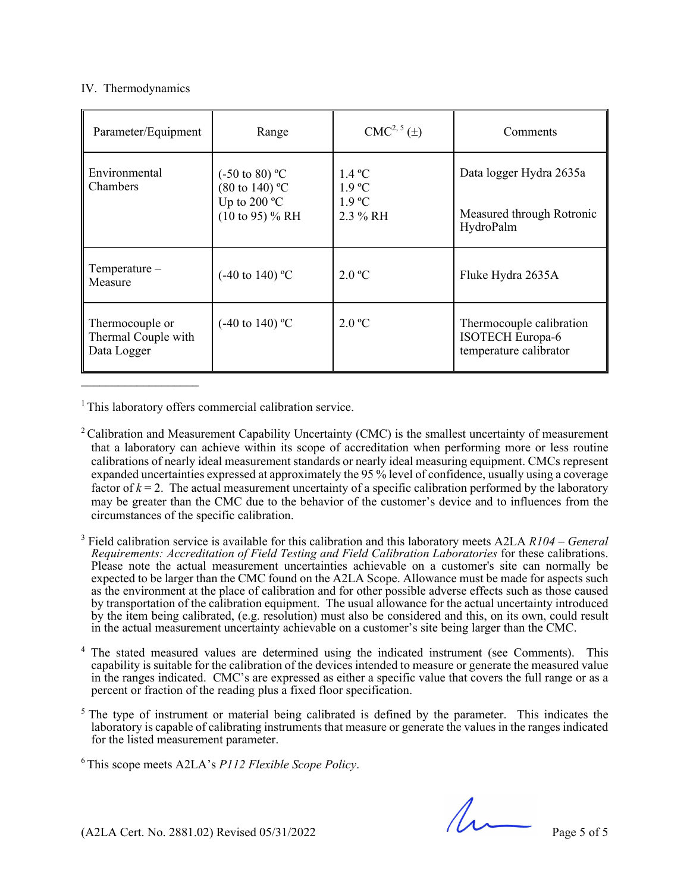## IV. Thermodynamics

| Parameter/Equipment                                   | Range                                                                                               | $CMC2, 5(\pm)$                                                     | Comments                                                                      |
|-------------------------------------------------------|-----------------------------------------------------------------------------------------------------|--------------------------------------------------------------------|-------------------------------------------------------------------------------|
| Environmental<br>Chambers                             | $(-50 \text{ to } 80)$ °C<br>$(80 \text{ to } 140)$ °C<br>Up to 200 $^{\circ}$ C<br>(10 to 95) % RH | $1.4\degree C$<br>$1.9 \text{ °C}$<br>$1.9 \text{ °C}$<br>2.3 % RH | Data logger Hydra 2635a<br>Measured through Rotronic<br>HydroPalm             |
| $Temperature-$<br>Measure                             | $(-40 \text{ to } 140)$ °C                                                                          | 2.0 °C                                                             | Fluke Hydra 2635A                                                             |
| Thermocouple or<br>Thermal Couple with<br>Data Logger | $(-40 \text{ to } 140)$ °C                                                                          | 2.0 °C                                                             | Thermocouple calibration<br><b>ISOTECH Europa-6</b><br>temperature calibrator |

<sup>1</sup> This laboratory offers commercial calibration service.

<sup>2</sup> Calibration and Measurement Capability Uncertainty (CMC) is the smallest uncertainty of measurement that a laboratory can achieve within its scope of accreditation when performing more or less routine calibrations of nearly ideal measurement standards or nearly ideal measuring equipment. CMCs represent expanded uncertainties expressed at approximately the 95 % level of confidence, usually using a coverage factor of  $k = 2$ . The actual measurement uncertainty of a specific calibration performed by the laboratory may be greater than the CMC due to the behavior of the customer's device and to influences from the circumstances of the specific calibration.

3 Field calibration service is available for this calibration and this laboratory meets A2LA *R104 – General Requirements: Accreditation of Field Testing and Field Calibration Laboratories* for these calibrations. Please note the actual measurement uncertainties achievable on a customer's site can normally be expected to be larger than the CMC found on the A2LA Scope. Allowance must be made for aspects such as the environment at the place of calibration and for other possible adverse effects such as those caused by transportation of the calibration equipment. The usual allowance for the actual uncertainty introduced by the item being calibrated, (e.g. resolution) must also be considered and this, on its own, could result in the actual measurement uncertainty achievable on a customer's site being larger than the CMC.

4 The stated measured values are determined using the indicated instrument (see Comments). This capability is suitable for the calibration of the devices intended to measure or generate the measured value in the ranges indicated. CMC's are expressed as either a specific value that covers the full range or as a percent or fraction of the reading plus a fixed floor specification.

<sup>5</sup> The type of instrument or material being calibrated is defined by the parameter. This indicates the laboratory is capable of calibrating instruments that measure or generate the values in the ranges indicated for the listed measurement parameter.

6 This scope meets A2LA's *P112 Flexible Scope Policy*.

 $(A2LA$  Cert. No. 2881.02) Revised 05/31/2022